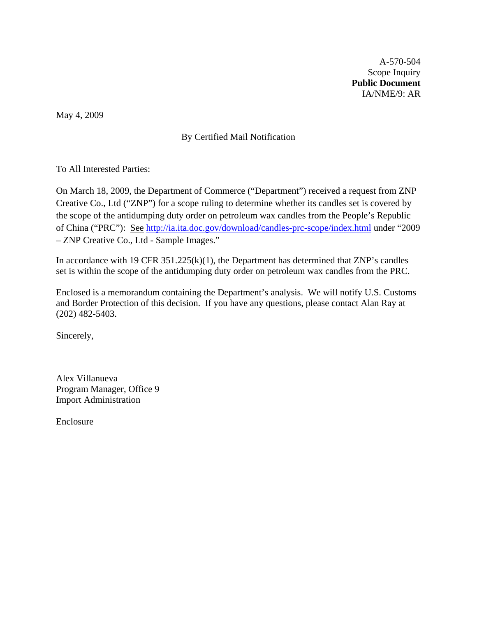A-570-504 Scope Inquiry **Public Document**  IA/NME/9: AR

May 4, 2009

# By Certified Mail Notification

To All Interested Parties:

On March 18, 2009, the Department of Commerce ("Department") received a request from ZNP Creative Co., Ltd ("ZNP") for a scope ruling to determine whether its candles set is covered by the scope of the antidumping duty order on petroleum wax candles from the People's Republic of China ("PRC"): See <http://ia.ita.doc.gov/download/candles-prc-scope/index.html>under "2009 – ZNP Creative Co., Ltd - Sample Images."

In accordance with 19 CFR  $351.225(k)(1)$ , the Department has determined that ZNP's candles set is within the scope of the antidumping duty order on petroleum wax candles from the PRC.

Enclosed is a memorandum containing the Department's analysis. We will notify U.S. Customs and Border Protection of this decision. If you have any questions, please contact Alan Ray at (202) 482-5403.

Sincerely,

Alex Villanueva Program Manager, Office 9 Import Administration

Enclosure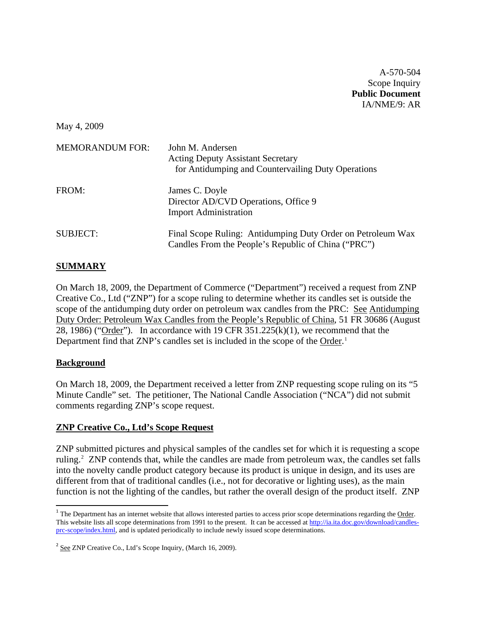A-570-504 Scope Inquiry **Public Document**  IA/NME/9: AR

May 4, 2009

| <b>MEMORANDUM FOR:</b> | John M. Andersen<br><b>Acting Deputy Assistant Secretary</b><br>for Antidumping and Countervailing Duty Operations |
|------------------------|--------------------------------------------------------------------------------------------------------------------|
| FROM:                  | James C. Doyle<br>Director AD/CVD Operations, Office 9<br><b>Import Administration</b>                             |
| <b>SUBJECT:</b>        | Final Scope Ruling: Antidumping Duty Order on Petroleum Wax<br>Candles From the People's Republic of China ("PRC") |

## **SUMMARY**

On March 18, 2009, the Department of Commerce ("Department") received a request from ZNP Creative Co., Ltd ("ZNP") for a scope ruling to determine whether its candles set is outside the scope of the antidumping duty order on petroleum wax candles from the PRC: See Antidumping Duty Order: Petroleum Wax Candles from the People's Republic of China, 51 FR 30686 (August 28, 1986) ("Order"). In accordance with 19 CFR  $351.225(k)(1)$ , we recommend that the Department find that ZNP's candles set is included in the scope of the Order.<sup>[1](#page-1-0)</sup>

### **Background**

On March 18, 2009, the Department received a letter from ZNP requesting scope ruling on its "5 Minute Candle" set. The petitioner, The National Candle Association ("NCA") did not submit comments regarding ZNP's scope request.

### **ZNP Creative Co., Ltd's Scope Request**

ZNP submitted pictures and physical samples of the candles set for which it is requesting a scope ruling.<sup>[2](#page-1-1)</sup> ZNP contends that, while the candles are made from petroleum wax, the candles set falls into the novelty candle product category because its product is unique in design, and its uses are different from that of traditional candles (i.e., not for decorative or lighting uses), as the main function is not the lighting of the candles, but rather the overall design of the product itself. ZNP

<span id="page-1-0"></span><sup>&</sup>lt;sup>1</sup> The Department has an internet website that allows interested parties to access prior scope determinations regarding the Order. This website lists all scope determinations from 1991 to the present. It can be accessed at [http://ia.ita.doc.gov/download/candles](http://ia.ita.doc.gov/download/candles-prc-scope/index.html)[prc-scope/index.html](http://ia.ita.doc.gov/download/candles-prc-scope/index.html), and is updated periodically to include newly issued scope determinations.

<span id="page-1-1"></span><sup>&</sup>lt;sup>2</sup> See ZNP Creative Co., Ltd's Scope Inquiry, (March 16, 2009).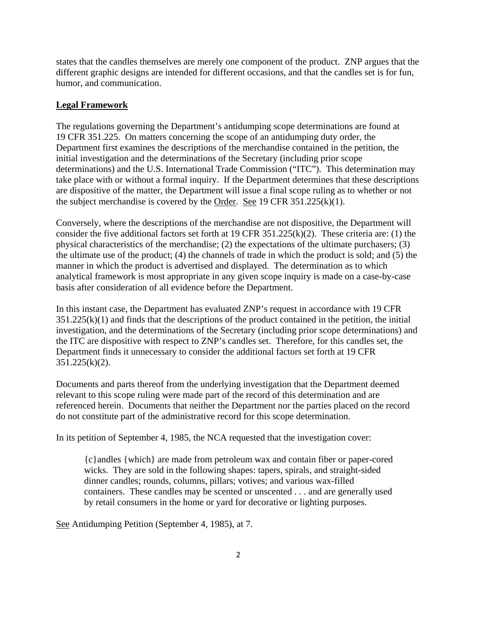states that the candles themselves are merely one component of the product. ZNP argues that the different graphic designs are intended for different occasions, and that the candles set is for fun, humor, and communication.

#### **Legal Framework**

The regulations governing the Department's antidumping scope determinations are found at 19 CFR 351.225. On matters concerning the scope of an antidumping duty order, the Department first examines the descriptions of the merchandise contained in the petition, the initial investigation and the determinations of the Secretary (including prior scope determinations) and the U.S. International Trade Commission ("ITC"). This determination may take place with or without a formal inquiry. If the Department determines that these descriptions are dispositive of the matter, the Department will issue a final scope ruling as to whether or not the subject merchandise is covered by the Order. See 19 CFR  $351.225(k)(1)$ .

Conversely, where the descriptions of the merchandise are not dispositive, the Department will consider the five additional factors set forth at 19 CFR 351.225(k)(2). These criteria are: (1) the physical characteristics of the merchandise; (2) the expectations of the ultimate purchasers; (3) the ultimate use of the product; (4) the channels of trade in which the product is sold; and (5) the manner in which the product is advertised and displayed. The determination as to which analytical framework is most appropriate in any given scope inquiry is made on a case-by-case basis after consideration of all evidence before the Department.

In this instant case, the Department has evaluated ZNP's request in accordance with 19 CFR  $351.225(k)(1)$  and finds that the descriptions of the product contained in the petition, the initial investigation, and the determinations of the Secretary (including prior scope determinations) and the ITC are dispositive with respect to ZNP's candles set. Therefore, for this candles set, the Department finds it unnecessary to consider the additional factors set forth at 19 CFR 351.225(k)(2).

Documents and parts thereof from the underlying investigation that the Department deemed relevant to this scope ruling were made part of the record of this determination and are referenced herein. Documents that neither the Department nor the parties placed on the record do not constitute part of the administrative record for this scope determination.

In its petition of September 4, 1985, the NCA requested that the investigation cover:

{c}andles {which} are made from petroleum wax and contain fiber or paper-cored wicks. They are sold in the following shapes: tapers, spirals, and straight-sided dinner candles; rounds, columns, pillars; votives; and various wax-filled containers. These candles may be scented or unscented . . . and are generally used by retail consumers in the home or yard for decorative or lighting purposes.

See Antidumping Petition (September 4, 1985), at 7.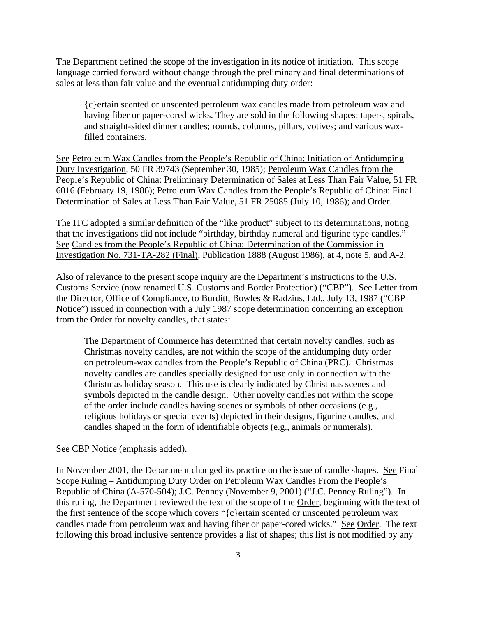The Department defined the scope of the investigation in its notice of initiation. This scope language carried forward without change through the preliminary and final determinations of sales at less than fair value and the eventual antidumping duty order:

{c}ertain scented or unscented petroleum wax candles made from petroleum wax and having fiber or paper-cored wicks. They are sold in the following shapes: tapers, spirals, and straight-sided dinner candles; rounds, columns, pillars, votives; and various waxfilled containers.

See Petroleum Wax Candles from the People's Republic of China: Initiation of Antidumping Duty Investigation, 50 FR 39743 (September 30, 1985); Petroleum Wax Candles from the People's Republic of China: Preliminary Determination of Sales at Less Than Fair Value, 51 FR 6016 (February 19, 1986); Petroleum Wax Candles from the People's Republic of China: Final Determination of Sales at Less Than Fair Value, 51 FR 25085 (July 10, 1986); and Order.

The ITC adopted a similar definition of the "like product" subject to its determinations, noting that the investigations did not include "birthday, birthday numeral and figurine type candles." See Candles from the People's Republic of China: Determination of the Commission in Investigation No. 731-TA-282 (Final), Publication 1888 (August 1986), at 4, note 5, and A-2.

Also of relevance to the present scope inquiry are the Department's instructions to the U.S. Customs Service (now renamed U.S. Customs and Border Protection) ("CBP"). See Letter from the Director, Office of Compliance, to Burditt, Bowles & Radzius, Ltd., July 13, 1987 ("CBP Notice") issued in connection with a July 1987 scope determination concerning an exception from the Order for novelty candles, that states:

The Department of Commerce has determined that certain novelty candles, such as Christmas novelty candles, are not within the scope of the antidumping duty order on petroleum-wax candles from the People's Republic of China (PRC). Christmas novelty candles are candles specially designed for use only in connection with the Christmas holiday season. This use is clearly indicated by Christmas scenes and symbols depicted in the candle design. Other novelty candles not within the scope of the order include candles having scenes or symbols of other occasions (e.g., religious holidays or special events) depicted in their designs, figurine candles, and candles shaped in the form of identifiable objects (e.g., animals or numerals).

See CBP Notice (emphasis added).

In November 2001, the Department changed its practice on the issue of candle shapes. See Final Scope Ruling – Antidumping Duty Order on Petroleum Wax Candles From the People's Republic of China (A-570-504); J.C. Penney (November 9, 2001) ("J.C. Penney Ruling"). In this ruling, the Department reviewed the text of the scope of the Order, beginning with the text of the first sentence of the scope which covers "{c}ertain scented or unscented petroleum wax candles made from petroleum wax and having fiber or paper-cored wicks." See Order. The text following this broad inclusive sentence provides a list of shapes; this list is not modified by any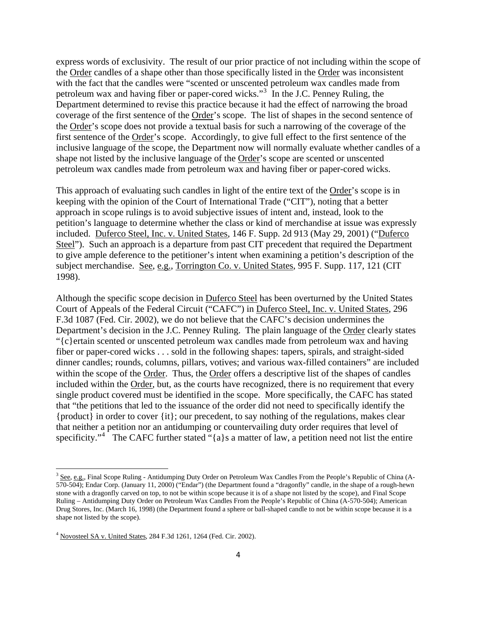express words of exclusivity. The result of our prior practice of not including within the scope of the Order candles of a shape other than those specifically listed in the Order was inconsistent with the fact that the candles were "scented or unscented petroleum wax candles made from petroleum wax and having fiber or paper-cored wicks."<sup>[3](#page-4-0)</sup> In the J.C. Penney Ruling, the Department determined to revise this practice because it had the effect of narrowing the broad coverage of the first sentence of the Order's scope. The list of shapes in the second sentence of the Order's scope does not provide a textual basis for such a narrowing of the coverage of the first sentence of the Order's scope. Accordingly, to give full effect to the first sentence of the inclusive language of the scope, the Department now will normally evaluate whether candles of a shape not listed by the inclusive language of the Order's scope are scented or unscented petroleum wax candles made from petroleum wax and having fiber or paper-cored wicks.

This approach of evaluating such candles in light of the entire text of the Order's scope is in keeping with the opinion of the Court of International Trade ("CIT"), noting that a better approach in scope rulings is to avoid subjective issues of intent and, instead, look to the petition's language to determine whether the class or kind of merchandise at issue was expressly included. Duferco Steel, Inc. v. United States, 146 F. Supp. 2d 913 (May 29, 2001) ("Duferco Steel"). Such an approach is a departure from past CIT precedent that required the Department to give ample deference to the petitioner's intent when examining a petition's description of the subject merchandise. See, e.g., Torrington Co. v. United States, 995 F. Supp. 117, 121 (CIT 1998).

Although the specific scope decision in Duferco Steel has been overturned by the United States Court of Appeals of the Federal Circuit ("CAFC") in Duferco Steel, Inc. v. United States, 296 F.3d 1087 (Fed. Cir. 2002), we do not believe that the CAFC's decision undermines the Department's decision in the J.C. Penney Ruling. The plain language of the Order clearly states "{c}ertain scented or unscented petroleum wax candles made from petroleum wax and having fiber or paper-cored wicks . . . sold in the following shapes: tapers, spirals, and straight-sided dinner candles; rounds, columns, pillars, votives; and various wax-filled containers" are included within the scope of the Order. Thus, the Order offers a descriptive list of the shapes of candles included within the Order, but, as the courts have recognized, there is no requirement that every single product covered must be identified in the scope. More specifically, the CAFC has stated that "the petitions that led to the issuance of the order did not need to specifically identify the {product} in order to cover {it}; our precedent, to say nothing of the regulations, makes clear that neither a petition nor an antidumping or countervailing duty order requires that level of specificity."<sup>[4](#page-4-1)</sup> The CAFC further stated "{a}s a matter of law, a petition need not list the entire

<span id="page-4-0"></span> $3$  See, e.g., Final Scope Ruling - Antidumping Duty Order on Petroleum Wax Candles From the People's Republic of China (A-570-504); Endar Corp. (January 11, 2000) ("Endar") (the Department found a "dragonfly" candle, in the shape of a rough-hewn stone with a dragonfly carved on top, to not be within scope because it is of a shape not listed by the scope), and Final Scope Ruling – Antidumping Duty Order on Petroleum Wax Candles From the People's Republic of China (A-570-504); American Drug Stores, Inc. (March 16, 1998) (the Department found a sphere or ball-shaped candle to not be within scope because it is a shape not listed by the scope).

<span id="page-4-1"></span> $4$  Novosteel SA v. United States, 284 F.3d 1261, 1264 (Fed. Cir. 2002).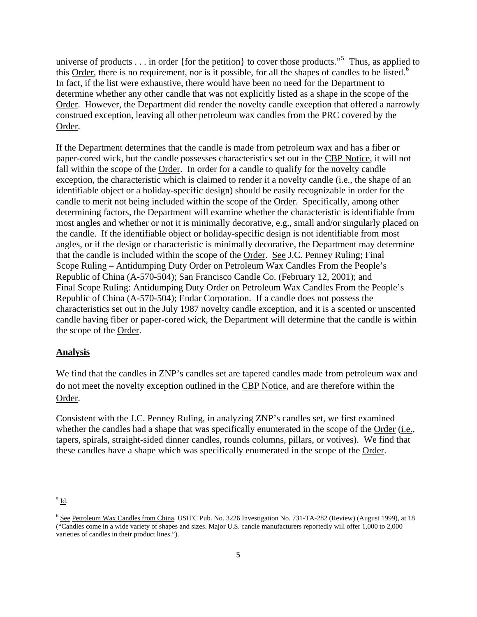universe of products . . . in order {for the petition} to cover those products."<sup>[5](#page-5-0)</sup> Thus, as applied to this Order, there is no requirement, nor is it possible, for all the shapes of candles to be listed.<sup>[6](#page-5-1)</sup> In fact, if the list were exhaustive, there would have been no need for the Department to determine whether any other candle that was not explicitly listed as a shape in the scope of the Order. However, the Department did render the novelty candle exception that offered a narrowly construed exception, leaving all other petroleum wax candles from the PRC covered by the Order.

If the Department determines that the candle is made from petroleum wax and has a fiber or paper-cored wick, but the candle possesses characteristics set out in the CBP Notice, it will not fall within the scope of the Order. In order for a candle to qualify for the novelty candle exception, the characteristic which is claimed to render it a novelty candle (i.e., the shape of an identifiable object or a holiday-specific design) should be easily recognizable in order for the candle to merit not being included within the scope of the Order. Specifically, among other determining factors, the Department will examine whether the characteristic is identifiable from most angles and whether or not it is minimally decorative, e.g., small and/or singularly placed on the candle. If the identifiable object or holiday-specific design is not identifiable from most angles, or if the design or characteristic is minimally decorative, the Department may determine that the candle is included within the scope of the Order. See J.C. Penney Ruling; Final Scope Ruling – Antidumping Duty Order on Petroleum Wax Candles From the People's Republic of China (A-570-504); San Francisco Candle Co. (February 12, 2001); and Final Scope Ruling: Antidumping Duty Order on Petroleum Wax Candles From the People's Republic of China (A-570-504); Endar Corporation. If a candle does not possess the characteristics set out in the July 1987 novelty candle exception, and it is a scented or unscented candle having fiber or paper-cored wick, the Department will determine that the candle is within the scope of the Order.

### **Analysis**

We find that the candles in ZNP's candles set are tapered candles made from petroleum wax and do not meet the novelty exception outlined in the CBP Notice, and are therefore within the Order.

Consistent with the J.C. Penney Ruling, in analyzing ZNP's candles set, we first examined whether the candles had a shape that was specifically enumerated in the scope of the Order (i.e., tapers, spirals, straight-sided dinner candles, rounds columns, pillars, or votives). We find that these candles have a shape which was specifically enumerated in the scope of the Order.

<span id="page-5-0"></span> $<sup>5</sup>$  Id.</sup>

<span id="page-5-1"></span><sup>6</sup> See Petroleum Wax Candles from China, USITC Pub. No. 3226 Investigation No. 731-TA-282 (Review) (August 1999), at 18 ("Candles come in a wide variety of shapes and sizes. Major U.S. candle manufacturers reportedly will offer 1,000 to 2,000 varieties of candles in their product lines.").